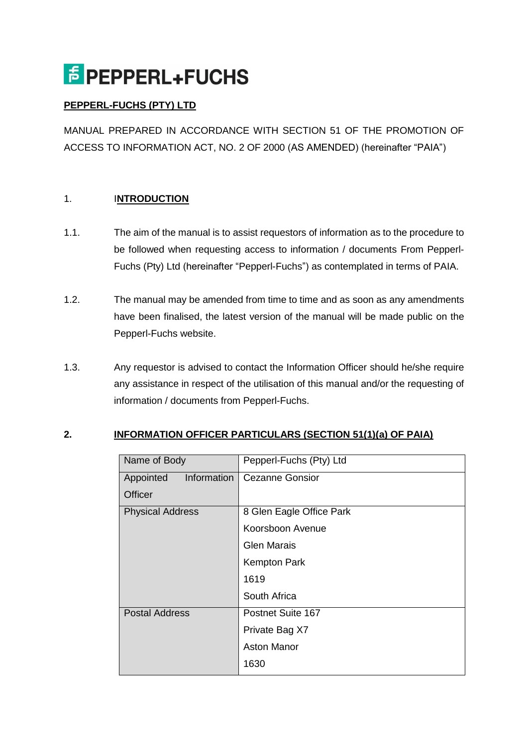# **F** PEPPERL+FUCHS

## **PEPPERL-FUCHS (PTY) LTD**

MANUAL PREPARED IN ACCORDANCE WITH SECTION 51 OF THE PROMOTION OF ACCESS TO INFORMATION ACT, NO. 2 OF 2000 (AS AMENDED) (hereinafter "PAIA")

## 1. I**NTRODUCTION**

- 1.1. The aim of the manual is to assist requestors of information as to the procedure to be followed when requesting access to information / documents From Pepperl-Fuchs (Pty) Ltd (hereinafter "Pepperl-Fuchs") as contemplated in terms of PAIA.
- 1.2. The manual may be amended from time to time and as soon as any amendments have been finalised, the latest version of the manual will be made public on the Pepperl-Fuchs website.
- 1.3. Any requestor is advised to contact the Information Officer should he/she require any assistance in respect of the utilisation of this manual and/or the requesting of information / documents from Pepperl-Fuchs.

#### **2. INFORMATION OFFICER PARTICULARS (SECTION 51(1)(a) OF PAIA)**

| Name of Body             | Pepperl-Fuchs (Pty) Ltd  |
|--------------------------|--------------------------|
| Information<br>Appointed | <b>Cezanne Gonsior</b>   |
| Officer                  |                          |
| <b>Physical Address</b>  | 8 Glen Eagle Office Park |
|                          | Koorsboon Avenue         |
|                          | <b>Glen Marais</b>       |
|                          | <b>Kempton Park</b>      |
|                          | 1619                     |
|                          | South Africa             |
| <b>Postal Address</b>    | Postnet Suite 167        |
|                          | Private Bag X7           |
|                          | <b>Aston Manor</b>       |
|                          | 1630                     |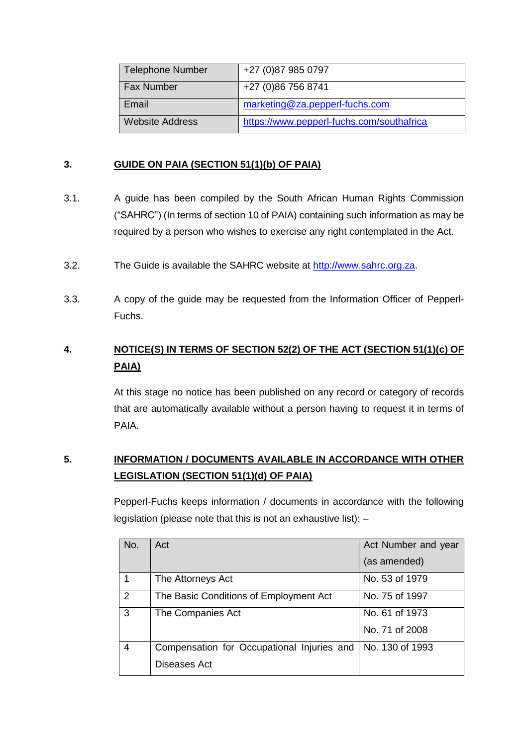| <b>Telephone Number</b> | +27 (0) 87 985 0797                       |
|-------------------------|-------------------------------------------|
| <b>Fax Number</b>       | +27 (0)86 756 8741                        |
| Email                   | marketing@za.pepperl-fuchs.com            |
| <b>Website Address</b>  | https://www.pepperl-fuchs.com/southafrica |

#### **3. GUIDE ON PAIA (SECTION 51(1)(b) OF PAIA)**

- 3.1. A guide has been compiled by the South African Human Rights Commission ("SAHRC") (In terms of section 10 of PAIA) containing such information as may be required by a person who wishes to exercise any right contemplated in the Act.
- 3.2. The Guide is available the SAHRC website at [http://www.sahrc.org.za.](http://www.sahrc.org.za/)
- 3.3. A copy of the guide may be requested from the Information Officer of Pepperl-Fuchs.

## **4. NOTICE(S) IN TERMS OF SECTION 52(2) OF THE ACT (SECTION 51(1)(c) OF PAIA)**

At this stage no notice has been published on any record or category of records that are automatically available without a person having to request it in terms of PAIA.

# **5. INFORMATION / DOCUMENTS AVAILABLE IN ACCORDANCE WITH OTHER LEGISLATION (SECTION 51(1)(d) OF PAIA)**

Pepperl-Fuchs keeps information / documents in accordance with the following legislation (please note that this is not an exhaustive list): –

| No.            | Act                                        | Act Number and year |
|----------------|--------------------------------------------|---------------------|
|                |                                            | (as amended)        |
| 1              | The Attorneys Act                          | No. 53 of 1979      |
| 2              | The Basic Conditions of Employment Act     | No. 75 of 1997      |
| 3              | The Companies Act                          | No. 61 of 1973      |
|                |                                            | No. 71 of 2008      |
| $\overline{4}$ | Compensation for Occupational Injuries and | No. 130 of 1993     |
|                | Diseases Act                               |                     |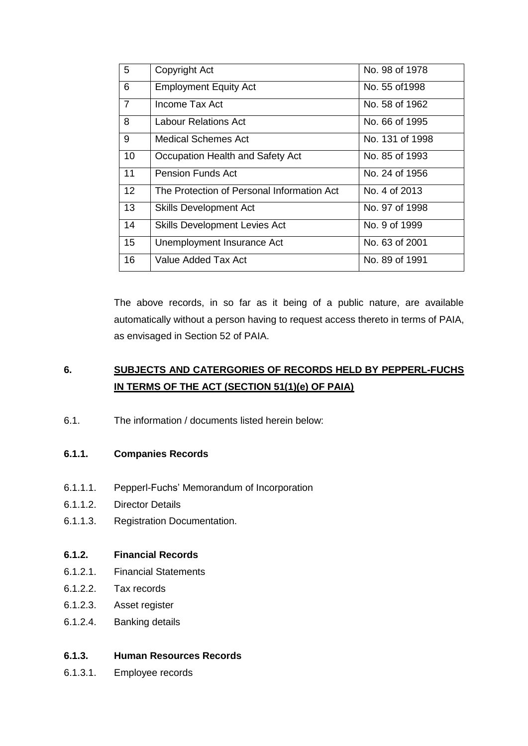| 5              | Copyright Act                              | No. 98 of 1978  |
|----------------|--------------------------------------------|-----------------|
| 6              | <b>Employment Equity Act</b>               | No. 55 of 1998  |
| $\overline{7}$ | Income Tax Act                             | No. 58 of 1962  |
| 8              | Labour Relations Act                       | No. 66 of 1995  |
| 9              | Medical Schemes Act                        | No. 131 of 1998 |
| 10             | Occupation Health and Safety Act           | No. 85 of 1993  |
| 11             | <b>Pension Funds Act</b>                   | No. 24 of 1956  |
| 12             | The Protection of Personal Information Act | No. 4 of 2013   |
| 13             | <b>Skills Development Act</b>              | No. 97 of 1998  |
| 14             | <b>Skills Development Levies Act</b>       | No. 9 of 1999   |
| 15             | Unemployment Insurance Act                 | No. 63 of 2001  |
| 16             | Value Added Tax Act                        | No. 89 of 1991  |

The above records, in so far as it being of a public nature, are available automatically without a person having to request access thereto in terms of PAIA, as envisaged in Section 52 of PAIA.

# **6. SUBJECTS AND CATERGORIES OF RECORDS HELD BY PEPPERL-FUCHS IN TERMS OF THE ACT (SECTION 51(1)(e) OF PAIA)**

6.1. The information / documents listed herein below:

#### **6.1.1. Companies Records**

- 6.1.1.1. Pepperl-Fuchs' Memorandum of Incorporation
- 6.1.1.2. Director Details
- 6.1.1.3. Registration Documentation.

#### **6.1.2. Financial Records**

- 6.1.2.1. Financial Statements
- 6.1.2.2. Tax records
- 6.1.2.3. Asset register
- 6.1.2.4. Banking details

#### **6.1.3. Human Resources Records**

6.1.3.1. Employee records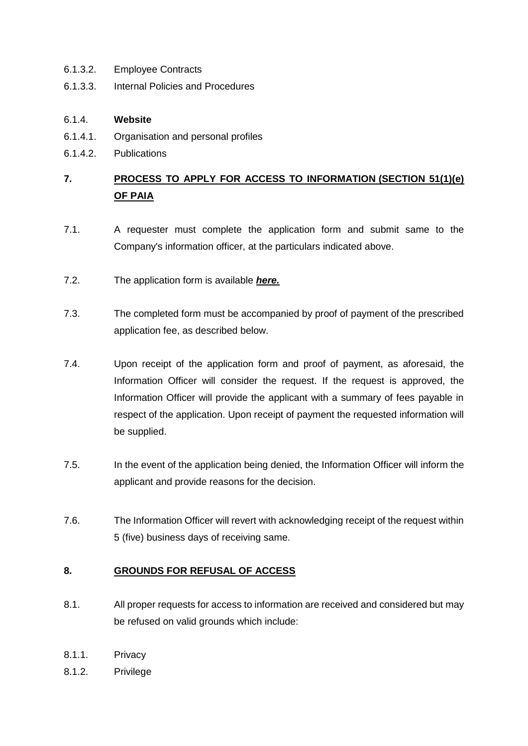- 6.1.3.2. Employee Contracts
- 6.1.3.3. Internal Policies and Procedures

#### 6.1.4. **Website**

- 6.1.4.1. Organisation and personal profiles
- 6.1.4.2. Publications

# **7. PROCESS TO APPLY FOR ACCESS TO INFORMATION (SECTION 51(1)(e) OF PAIA**

- 7.1. A requester must complete the application form and submit same to the Company's information officer, at the particulars indicated above.
- 7.2. The application form is available *[here.](http://www.macrobert.co.za/FileBrowser/ContentDocuments/ApplicationformPAIA.pdf)*
- 7.3. The completed form must be accompanied by proof of payment of the prescribed application fee, as described below.
- 7.4. Upon receipt of the application form and proof of payment, as aforesaid, the Information Officer will consider the request. If the request is approved, the Information Officer will provide the applicant with a summary of fees payable in respect of the application. Upon receipt of payment the requested information will be supplied.
- 7.5. In the event of the application being denied, the Information Officer will inform the applicant and provide reasons for the decision.
- 7.6. The Information Officer will revert with acknowledging receipt of the request within 5 (five) business days of receiving same.

#### **8. GROUNDS FOR REFUSAL OF ACCESS**

- 8.1. All proper requests for access to information are received and considered but may be refused on valid grounds which include:
- 8.1.1. Privacy
- 8.1.2. Privilege